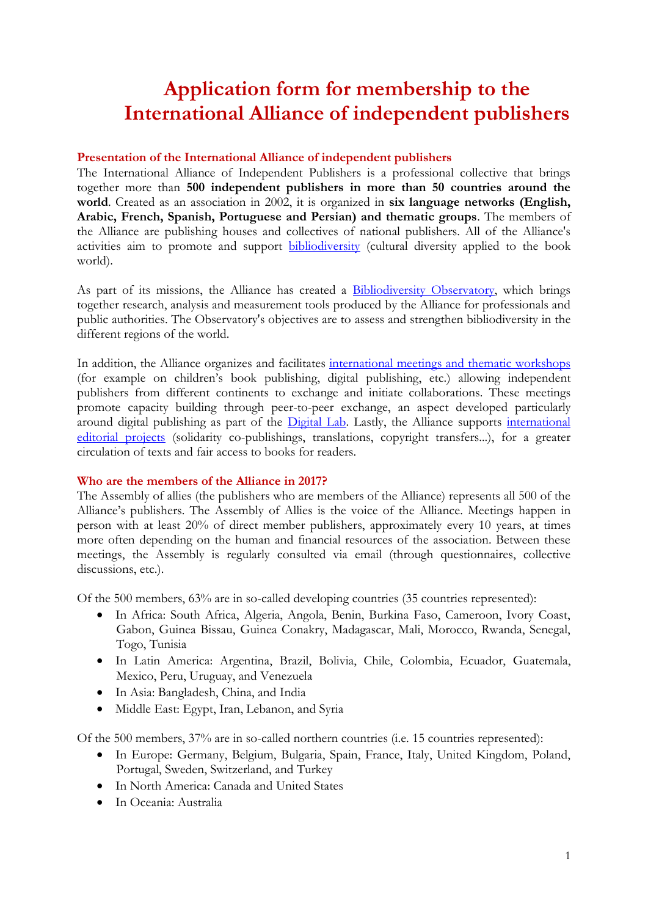# **Application form for membership to the International Alliance of independent publishers**

## **Presentation of the International Alliance of independent publishers**

The International Alliance of Independent Publishers is a professional collective that brings together more than **500 independent publishers in more than 50 countries around the world**. Created as an association in 2002, it is organized in **six language networks (English, Arabic, French, Spanish, Portuguese and Persian) and thematic groups**. The members of the Alliance are publishing houses and collectives of national publishers. All of the Alliance's activities aim to promote and support [bibliodiversity](http://www.alliance-editeurs.org/bibliodiversity?lang=en) (cultural diversity applied to the book world).

As part of its missions, the Alliance has created a [Bibliodiversity Observatory,](http://www.alliance-editeurs.org/-the-observatory,315-?lang=en) which brings together research, analysis and measurement tools produced by the Alliance for professionals and public authorities. The Observatory's objectives are to assess and strengthen bibliodiversity in the different regions of the world.

In addition, the Alliance organizes and facilitates [international meetings and thematic workshops](http://www.alliance-editeurs.org/-activities,179-?lang=en) (for example on children's book publishing, digital publishing, etc.) allowing independent publishers from different continents to exchange and initiate collaborations. These meetings promote capacity building through peer-to-peer exchange, an aspect developed particularly around digital publishing as part of the [Digital Lab.](http://alliance-lab.org/) Lastly, the Alliance supports international [editorial projects](http://www.alliance-editeurs.org/-activities,179-?lang=en) (solidarity co-publishings, translations, copyright transfers...), for a greater circulation of texts and fair access to books for readers.

#### **Who are the members of the Alliance in 2017?**

The Assembly of allies (the publishers who are members of the Alliance) represents all 500 of the Alliance's publishers. The Assembly of Allies is the voice of the Alliance. Meetings happen in person with at least 20% of direct member publishers, approximately every 10 years, at times more often depending on the human and financial resources of the association. Between these meetings, the Assembly is regularly consulted via email (through questionnaires, collective discussions, etc.).

Of the 500 members, 63% are in so-called developing countries (35 countries represented):

- In Africa: South Africa, Algeria, Angola, Benin, Burkina Faso, Cameroon, Ivory Coast, Gabon, Guinea Bissau, Guinea Conakry, Madagascar, Mali, Morocco, Rwanda, Senegal, Togo, Tunisia
- In Latin America: Argentina, Brazil, Bolivia, Chile, Colombia, Ecuador, Guatemala, Mexico, Peru, Uruguay, and Venezuela
- In Asia: Bangladesh, China, and India
- Middle East: Egypt, Iran, Lebanon, and Syria

Of the 500 members, 37% are in so-called northern countries (i.e. 15 countries represented):

- In Europe: Germany, Belgium, Bulgaria, Spain, France, Italy, United Kingdom, Poland, Portugal, Sweden, Switzerland, and Turkey
- In North America: Canada and United States
- In Oceania: Australia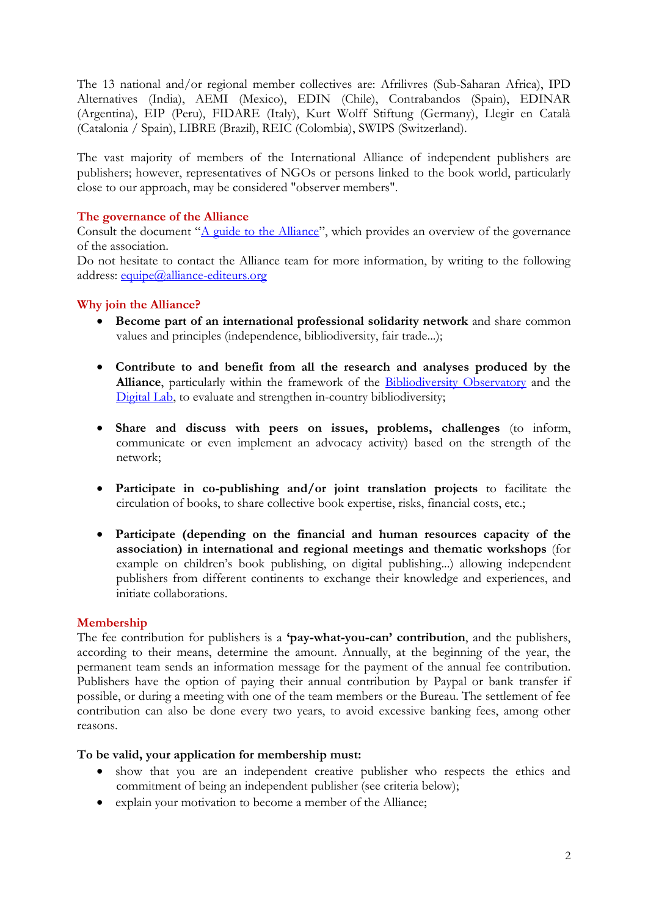The 13 national and/or regional member collectives are: Afrilivres (Sub-Saharan Africa), IPD Alternatives (India), AEMI (Mexico), EDIN (Chile), Contrabandos (Spain), EDINAR (Argentina), EIP (Peru), FIDARE (Italy), Kurt Wolff Stiftung (Germany), Llegir en Català (Catalonia / Spain), LIBRE (Brazil), REIC (Colombia), SWIPS (Switzerland).

The vast majority of members of the International Alliance of independent publishers are publishers; however, representatives of NGOs or persons linked to the book world, particularly close to our approach, may be considered "observer members".

## **The governance of the Alliance**

Consult the document "[A guide to the Alliance](http://www.alliance-editeurs.org/IMG/pdf/a_guide_to_the_alliance_2015-2018.pdf)", which provides an overview of the governance of the association.

Do not hesitate to contact the Alliance team for more information, by writing to the following address: equipe@alliance-editeurs.org

## **Why join the Alliance?**

- **Become part of an international professional solidarity network** and share common values and principles (independence, bibliodiversity, fair trade...);
- **Contribute to and benefit from all the research and analyses produced by the Alliance**, particularly within the framework of the [Bibliodiversity](http://www.alliance-editeurs.org/-the-observatory,315-?lang=en) Observatory and the [Digital Lab,](http://alliance-lab.org/?lang=en) to evaluate and strengthen in-country bibliodiversity;
- **Share and discuss with peers on issues, problems, challenges** (to inform, communicate or even implement an advocacy activity) based on the strength of the network;
- **Participate in co-publishing and/or joint translation projects** to facilitate the circulation of books, to share collective book expertise, risks, financial costs, etc.;
- **Participate (depending on the financial and human resources capacity of the association) in international and regional meetings and thematic workshops** (for example on children's book publishing, on digital publishing...) allowing independent publishers from different continents to exchange their knowledge and experiences, and initiate collaborations.

## **Membership**

The fee contribution for publishers is a **'pay-what-you-can' contribution**, and the publishers, according to their means, determine the amount. Annually, at the beginning of the year, the permanent team sends an information message for the payment of the annual fee contribution. Publishers have the option of paying their annual contribution by Paypal or bank transfer if possible, or during a meeting with one of the team members or the Bureau. The settlement of fee contribution can also be done every two years, to avoid excessive banking fees, among other reasons.

## **To be valid, your application for membership must:**

- show that you are an independent creative publisher who respects the ethics and commitment of being an independent publisher (see criteria below);
- explain your motivation to become a member of the Alliance;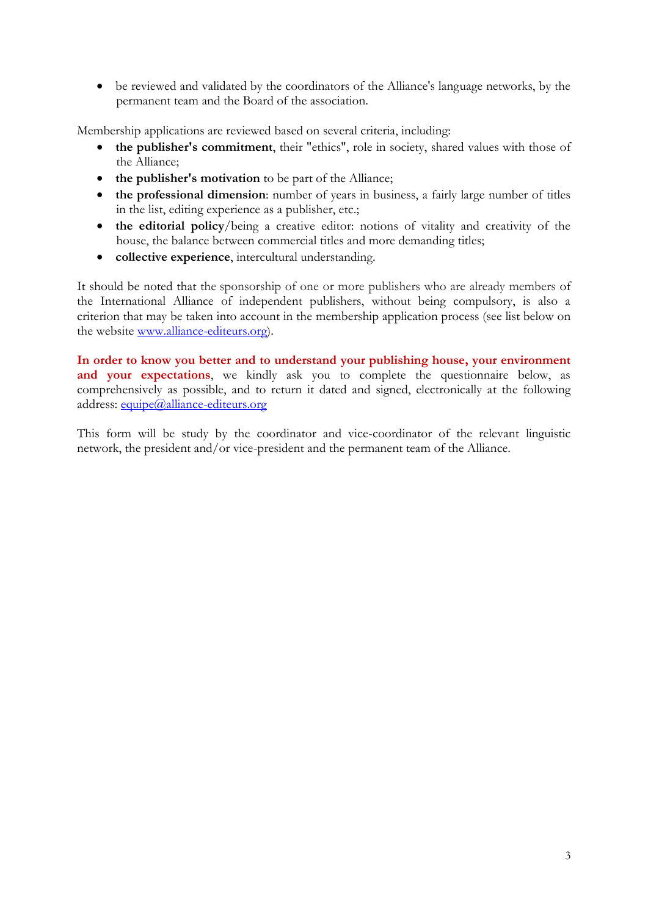• be reviewed and validated by the coordinators of the Alliance's language networks, by the permanent team and the Board of the association.

Membership applications are reviewed based on several criteria, including:

- **the publisher's commitment**, their "ethics", role in society, shared values with those of the Alliance;
- **the publisher's motivation** to be part of the Alliance;
- **the professional dimension**: number of years in business, a fairly large number of titles in the list, editing experience as a publisher, etc.;
- **the editorial policy**/being a creative editor: notions of vitality and creativity of the house, the balance between commercial titles and more demanding titles;
- **collective experience**, intercultural understanding.

It should be noted that the sponsorship of one or more publishers who are already members of the International Alliance of independent publishers, without being compulsory, is also a criterion that may be taken into account in the membership application process (see list below on the website www.alliance-editeurs.org).

**In order to know you better and to understand your publishing house, your environment**  and your expectations, we kindly ask you to complete the questionnaire below, as comprehensively as possible, and to return it dated and signed, electronically at the following address: [equipe@alliance-editeurs.org](mailto:equipe@alliance-editeurs.org)

This form will be study by the coordinator and vice-coordinator of the relevant linguistic network, the president and/or vice-president and the permanent team of the Alliance.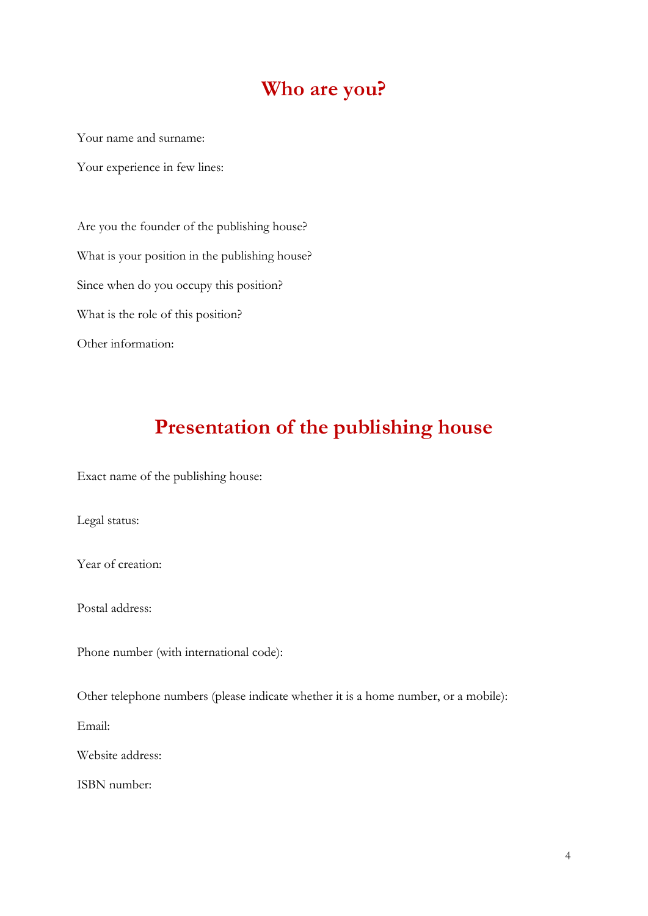## **Who are you?**

Your name and surname:

Your experience in few lines:

Are you the founder of the publishing house? What is your position in the publishing house? Since when do you occupy this position? What is the role of this position? Other information:

## **Presentation of the publishing house**

Exact name of the publishing house:

Legal status:

Year of creation:

Postal address:

Phone number (with international code):

Other telephone numbers (please indicate whether it is a home number, or a mobile):

Email:

Website address:

ISBN number: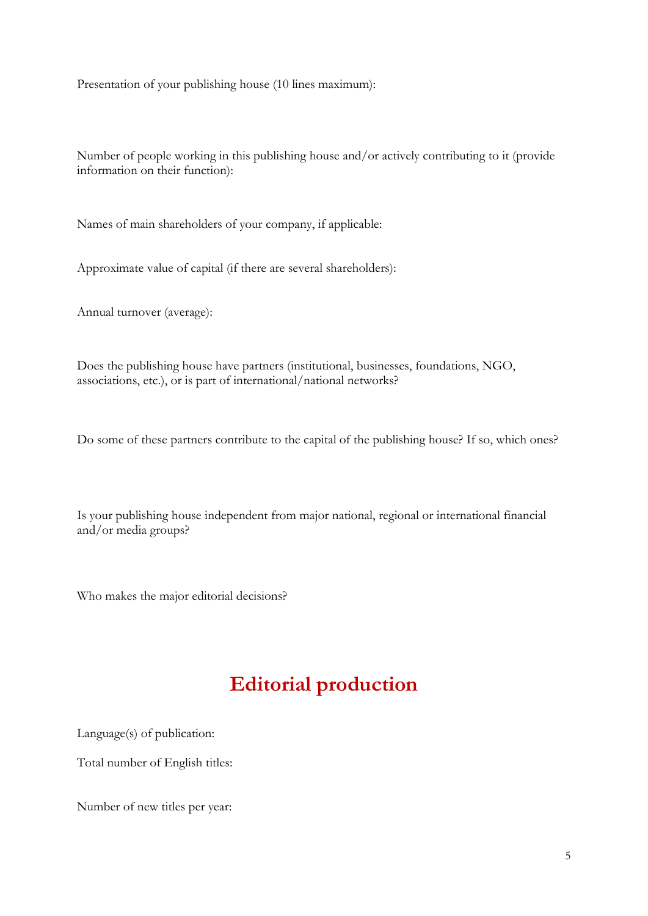Presentation of your publishing house (10 lines maximum):

Number of people working in this publishing house and/or actively contributing to it (provide information on their function):

Names of main shareholders of your company, if applicable:

Approximate value of capital (if there are several shareholders):

Annual turnover (average):

Does the publishing house have partners (institutional, businesses, foundations, NGO, associations, etc.), or is part of international/national networks?

Do some of these partners contribute to the capital of the publishing house? If so, which ones?

Is your publishing house independent from major national, regional or international financial and/or media groups?

Who makes the major editorial decisions?

# **Editorial production**

Language(s) of publication:

Total number of English titles:

Number of new titles per year: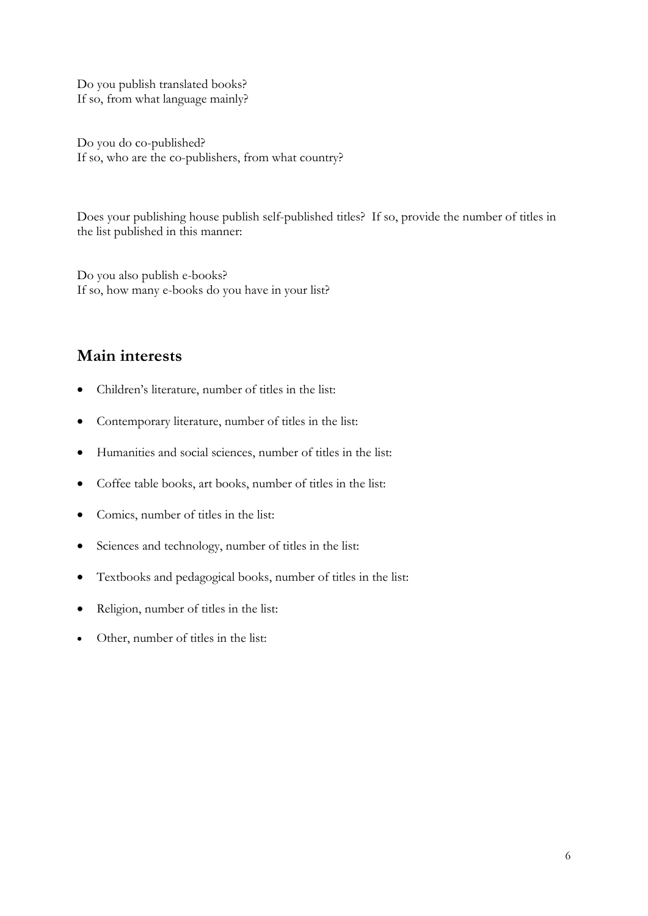Do you publish translated books? If so, from what language mainly?

Do you do co-published? If so, who are the co-publishers, from what country?

Does your publishing house publish self-published titles? If so, provide the number of titles in the list published in this manner:

Do you also publish e-books? If so, how many e-books do you have in your list?

## **Main interests**

- Children's literature, number of titles in the list:
- Contemporary literature, number of titles in the list:
- Humanities and social sciences, number of titles in the list:
- Coffee table books, art books, number of titles in the list:
- Comics, number of titles in the list:
- Sciences and technology, number of titles in the list:
- Textbooks and pedagogical books, number of titles in the list:
- Religion, number of titles in the list:
- Other, number of titles in the list: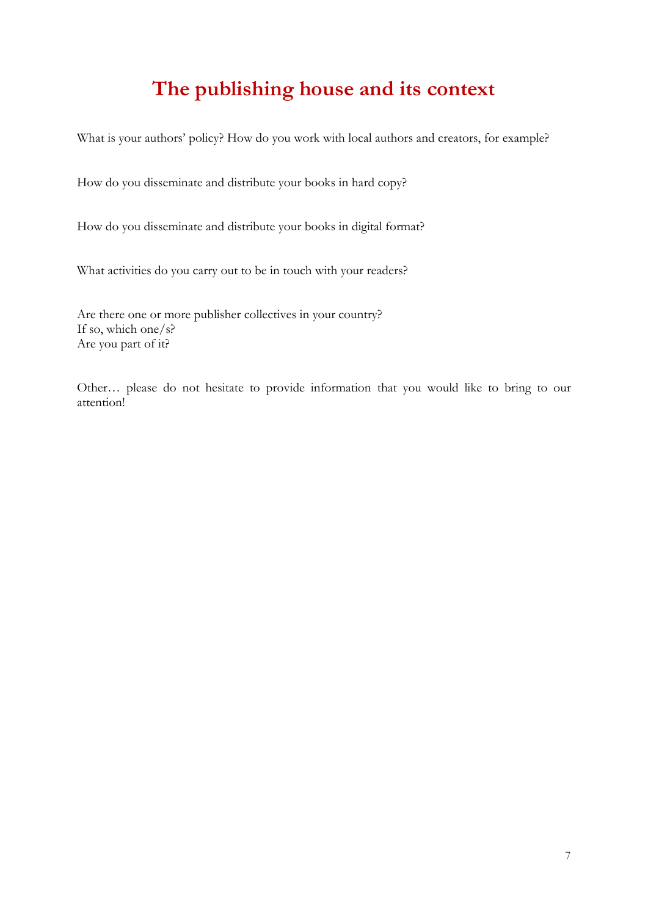# **The publishing house and its context**

What is your authors' policy? How do you work with local authors and creators, for example?

How do you disseminate and distribute your books in hard copy?

How do you disseminate and distribute your books in digital format?

What activities do you carry out to be in touch with your readers?

Are there one or more publisher collectives in your country? If so, which one/s? Are you part of it?

Other… please do not hesitate to provide information that you would like to bring to our attention!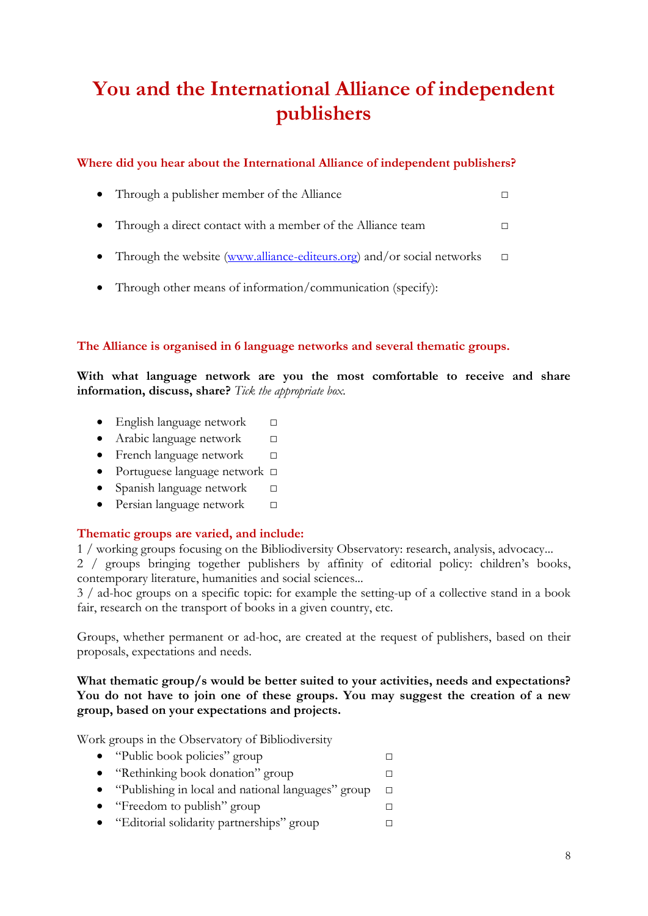# **You and the International Alliance of independent publishers**

## **Where did you hear about the International Alliance of independent publishers?**

|  | • Through a publisher member of the Alliance |  |
|--|----------------------------------------------|--|
|--|----------------------------------------------|--|

- Through a direct contact with a member of the Alliance team □
- Through the website [\(www.alliance-editeurs.org\)](http://www.alliance-editeurs.org/) and/or social networks  $\Box$
- Through other means of information/communication (specify):

## **The Alliance is organised in 6 language networks and several thematic groups.**

**With what language network are you the most comfortable to receive and share information, discuss, share?** *Tick the appropriate box.*

- English language network □
- Arabic language network □
- French language network □
- Portuguese language network □
- Spanish language network □
- Persian language network □

## **Thematic groups are varied, and include:**

1 / working groups focusing on the Bibliodiversity Observatory: research, analysis, advocacy...

2 / groups bringing together publishers by affinity of editorial policy: children's books, contemporary literature, humanities and social sciences...

3 / ad-hoc groups on a specific topic: for example the setting-up of a collective stand in a book fair, research on the transport of books in a given country, etc.

Groups, whether permanent or ad-hoc, are created at the request of publishers, based on their proposals, expectations and needs.

## **What thematic group/s would be better suited to your activities, needs and expectations? You do not have to join one of these groups. You may suggest the creation of a new group, based on your expectations and projects.**

Work groups in the Observatory of Bibliodiversity

- "Public book policies" group □ • "Rethinking book donation" group □ • "Publishing in local and national languages" group □
- "Freedom to publish" group  $\Box$
- "Editorial solidarity partnerships" group □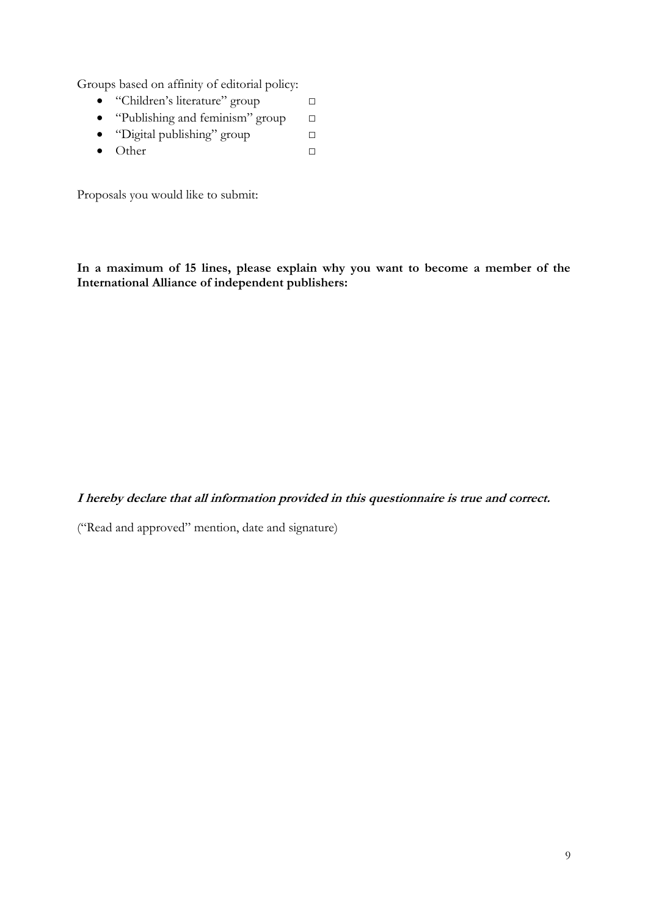Groups based on affinity of editorial policy:

- "Children's literature" group □
- "Publishing and feminism" group  $\Box$
- "Digital publishing" group □
- Other □

Proposals you would like to submit:

**In a maximum of 15 lines, please explain why you want to become a member of the International Alliance of independent publishers:**

**I hereby declare that all information provided in this questionnaire is true and correct.**

("Read and approved" mention, date and signature)